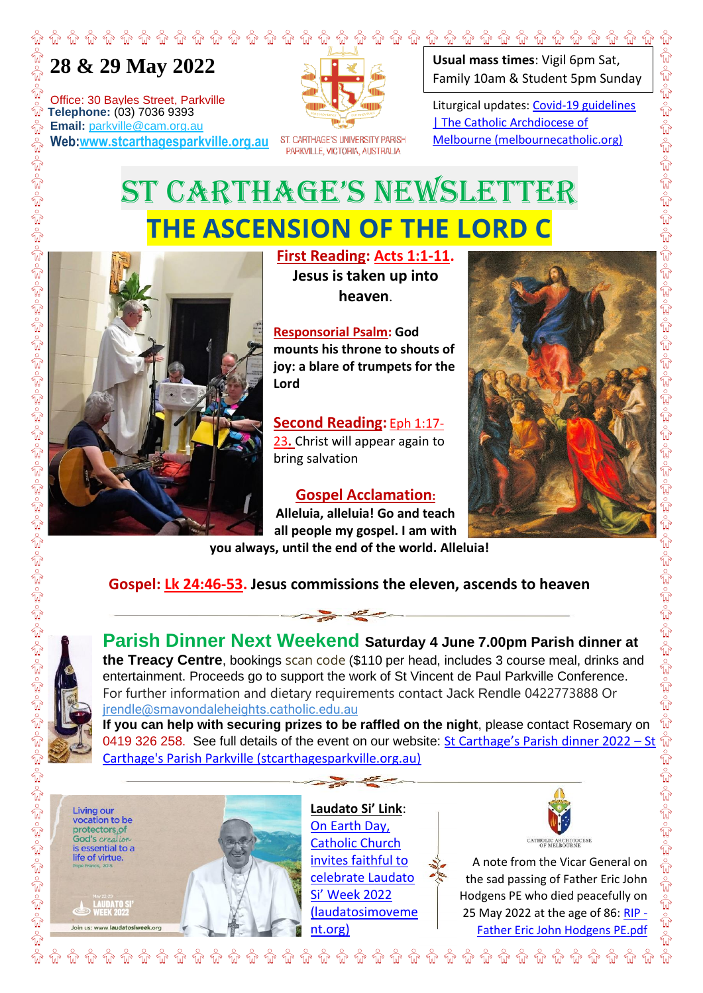## **28 & 29 May 2022**

⋒

ŵ

Office: 30 Bayles Street, Parkville **The Telephone:** (03) 7036 9393<br> **Telephone:** (03) 7036 9393<br> **The Tenail:** parkville @cam.org.a **Email:** parkville@cam.org.au **Web:www.stcarthagesparkville.org.au**



ST. CARTHAGE'S UNIVERSITY PARISH PARKVILLE, VICTORIA, AUSTRALIA

**Usual mass times**: Vigil 6pm Sat, Family 10am & Student 5pm Sunday క్టాం కృ

Liturgical updates: Covid-19 guidelines | The Catholic Archdiocese of Melbourne (melbournecatholic.org)

## ST CARTHAGE'S NEWSLETTER **THE ASCENSION OF THE LORD C**



**First Reading: Acts 1:1-11. Jesus is taken up into heaven**.

**Responsorial Psalm: God mounts his throne to shouts of joy: a blare of trumpets for the Lord**

**Second Reading:** Eph 1:17- 23**.** Christ will appear again to bring salvation

## **Gospel Acclamation:**

**Alleluia, alleluia! Go and teach all people my gospel. I am with you always, until the end of the world. Alleluia!**



**Gospel: Lk 24:46-53. Jesus commissions the eleven, ascends to heaven**



**Parish Dinner Next Weekend Saturday 4 June 7.00pm Parish dinner at the Treacy Centre**, bookings scan code (\$110 per head, includes 3 course meal, drinks and entertainment. Proceeds go to support the work of St Vincent de Paul Parkville Conference. For further information and dietary requirements contact Jack Rendle 0422773888 Or jrendle@smavondaleheights.catholic.edu.au **If you can help with securing prizes to be raffled on the night**, please contact Rosemary on

0419 326 258. See full details of the event on our website: St Carthage's Parish dinner 2022 – St Carthage's Parish Parkville (stcarthagesparkville.org.au)

**Living our** vocation to be protectors<sub>.</sub>of God's creation is essential to a life of virtue

**LAUDATO S<br>WEEK 2022** 

 $\overline{a}$ 



**Laudato Si' Link**: On Earth Day, Catholic Church invites faithful to celebrate Laudato Si' Week 2022 (laudatosimoveme nt.org)



A note from the Vicar General on the sad passing of Father Eric John Hodgens PE who died peacefully on 25 May 2022 at the age of 86: RIP -Father Eric John Hodgens PE.pdf